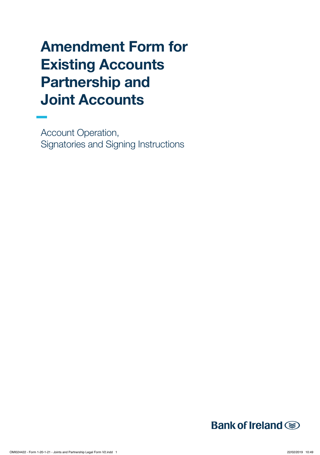# Amendment Form for Existing Accounts Partnership and Joint Accounts

Account Operation, Signatories and Signing Instructions

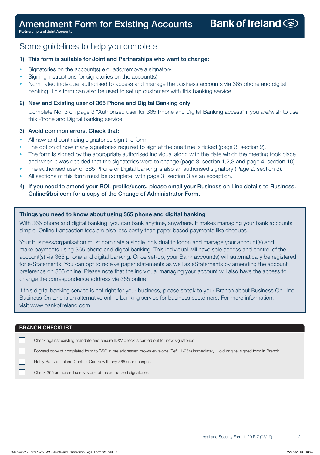Partnership and Joint Accounts

### Some guidelines to help you complete

### 1) This form is suitable for Joint and Partnerships who want to change:

- Signatories on the account(s) e.g. add/remove a signatory.
- Signing instructions for signatories on the account(s).
- Nominated individual authorised to access and manage the business accounts via 365 phone and digital banking. This form can also be used to set up customers with this banking service.

#### 2) New and Existing user of 365 Phone and Digital Banking only

 Complete No. 3 on page 3 "Authorised user for 365 Phone and Digital Banking access" if you are/wish to use this Phone and Digital banking service.

#### 3) Avoid common errors. Check that:

- All new and continuing signatories sign the form.
- The option of how many signatories required to sign at the one time is ticked (page 3, section 2).
- The form is signed by the appropriate authorised individual along with the date which the meeting took place and when it was decided that the signatories were to change (page 3, section 1,2,3 and page 4, section 10).
- The authorised user of 365 Phone or Digital banking is also an authorised signatory (Page 2, section 3).
- All sections of this form must be complete, with page 3, section 3 as an exception.
- 4) If you need to amend your BOL profile/users, please email your Business on Line details to Business. Online@boi.com for a copy of the Change of Administrator Form.

#### Things you need to know about using 365 phone and digital banking

With 365 phone and digital banking, you can bank anytime, anywhere. It makes managing your bank accounts simple. Online transaction fees are also less costly than paper based payments like cheques.

Your business/organisation must nominate a single individual to logon and manage your account(s) and make payments using 365 phone and digital banking. This individual will have sole access and control of the account(s) via 365 phone and digital banking. Once set-up, your Bank account(s) will automatically be registered for e-Statements. You can opt to receive paper statements as well as eStatements by amending the account preference on 365 online. Please note that the individual managing your account will also have the access to change the correspondence address via 365 online.

If this digital banking service is not right for your business, please speak to your Branch about Business On Line. Business On Line is an alternative online banking service for business customers. For more information, visit www.bankofireland.com.

#### BRANCH CHECKLIST

 $\Box$ 

 $\Box$ Check against existing mandate and ensure ID&V check is carried out for new signatories

 $\Box$ Forward copy of completed form to BSC in pre addressed brown envelope (Ref:11-254) immediately. Hold original signed form in Branch

Notify Bank of Ireland Contact Centre with any 365 user changes

Check 365 authorised users is one of the authorised signatories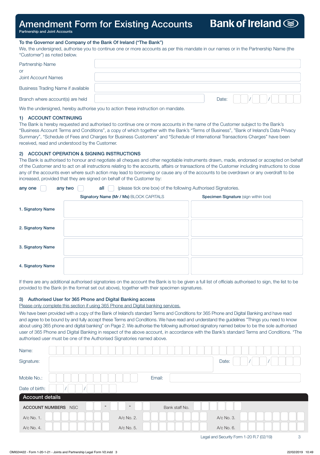### Amendment Form for Existing Accounts

Partnership and Joint Accounts

#### To the Governor and Company of the Bank Of Ireland ("The Bank")

We, the undersigned, authorise you to continue one or more accounts as per this mandate in our names or in the Partnership Name (the "Customer") as noted below.

| Partnership Name                   |       |  |  |
|------------------------------------|-------|--|--|
| or                                 |       |  |  |
| Joint Account Names                |       |  |  |
| Business Trading Name if available |       |  |  |
| Branch where account(s) are held   | Date: |  |  |

We the undersigned, hereby authorise you to action these instruction on mandate.

#### 1) ACCOUNT CONTINUING

The Bank is hereby requested and authorised to continue one or more accounts in the name of the Customer subject to the Bank's "Business Account Terms and Conditions", a copy of which together with the Bank's "Terms of Business", "Bank of Ireland's Data Privacy Summary", "Schedule of Fees and Charges for Business Customers" and "Schedule of International Transactions Charges" have been received, read and understood by the Customer.

#### 2) ACCOUNT OPERATION & SIGNING INSTRUCTIONS

The Bank is authorised to honour and negotiate all cheques and other negotiable instruments drawn, made, endorsed or accepted on behalf of the Customer and to act on all instructions relating to the accounts, affairs or transactions of the Customer including instructions to close any of the accounts even where such action may lead to borrowing or cause any of the accounts to be overdrawn or any overdraft to be increased, provided that they are signed on behalf of the Customer by:

| (please tick one box) of the following Authorised Signatories.<br>any two<br>all<br>any one |                                         |                                      |  |  |  |  |  |  |  |  |  |
|---------------------------------------------------------------------------------------------|-----------------------------------------|--------------------------------------|--|--|--|--|--|--|--|--|--|
|                                                                                             | Signatory Name (Mr / Ms) BLOCK CAPITALS | Specimen Signature (sign within box) |  |  |  |  |  |  |  |  |  |
| 1. Signatory Name                                                                           |                                         |                                      |  |  |  |  |  |  |  |  |  |
| 2. Signatory Name                                                                           |                                         |                                      |  |  |  |  |  |  |  |  |  |
| 3. Signatory Name                                                                           |                                         |                                      |  |  |  |  |  |  |  |  |  |
| 4. Signatory Name                                                                           |                                         |                                      |  |  |  |  |  |  |  |  |  |

If there are any additional authorised signatories on the account the Bank is to be given a full list of officials authorised to sign, the list to be provided to the Bank (in the format set out above), together with their specimen signatures.

#### 3) Authorised User for 365 Phone and Digital Banking access

Please only complete this section if using 365 Phone and Digital banking services.

We have been provided with a copy of the Bank of Ireland's standard Terms and Conditions for 365 Phone and Digital Banking and have read and agree to be bound by and fully accept these Terms and Conditions. We have read and understand the guidelines "Things you need to know about using 365 phone and digital banking" on Page 2. We authorise the following authorised signatory named below to be the sole authorised user of 365 Phone and Digital Banking in respect of the above account, in accordance with the Bank's standard Terms and Conditions. \*The authorised user must be one of the Authorised Signatories named above.

| Name:                  |                     |                          |            |        |                |            |  |  |
|------------------------|---------------------|--------------------------|------------|--------|----------------|------------|--|--|
| Signature:             |                     |                          |            |        |                | Date:      |  |  |
|                        |                     |                          |            |        |                |            |  |  |
| Mobile No.:            |                     |                          |            | Email: |                |            |  |  |
| Date of birth:         |                     |                          |            |        |                |            |  |  |
| <b>Account details</b> |                     |                          |            |        |                |            |  |  |
|                        | ACCOUNT NUMBERS NSC | $\overline{\phantom{a}}$ | $\sim$     |        | Bank staff No. |            |  |  |
| A/c No. 1.             |                     |                          | A/c No. 2. |        |                | A/c No. 3. |  |  |
| A/c No. 4.             |                     |                          | A/c No. 5. |        |                | A/c No. 6. |  |  |

**Bank of Ireland**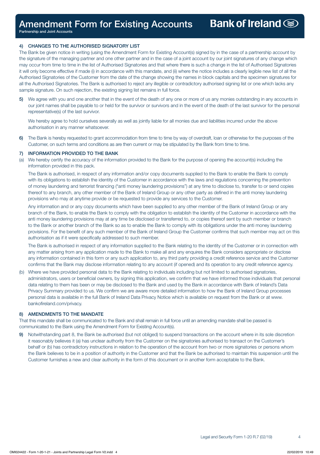Partnership and Joint Accounts

#### 4) CHANGES TO THE AUTHORISED SIGNATORY LIST

The Bank be given notice in writing (using the Amendment Form for Existing Account(s) signed by in the case of a partnership account by the signature of the managing partner and one other partner and in the case of a joint account by our joint signatures of any change which may occur from time to time in the list of Authorised Signatories and that where there is such a change in the list of Authorised Signatories it will only become effective if made (i) in accordance with this mandate, and (ii) where the notice includes a clearly legible new list of all the Authorised Signatories of the Customer from the date of the change showing the names in block capitals and the specimen signatures for all the Authorised Signatories. The Bank is authorised to reject any illegible or contradictory authorised signing list or one which lacks any sample signature. On such rejection, the existing signing list remains in full force.

5) We agree with you and one another that in the event of the death of any one or more of us any monies outstanding in any accounts in our joint names shall be payable to or held for the survivor or survivors and in the event of the death of the last survivor for the personal representative(s) of the last survivor.

 We hereby agree to hold ourselves severally as well as jointly liable for all monies due and liabilities incurred under the above authorisation in any manner whatsoever.

6) The Bank is hereby requested to grant accommodation from time to time by way of overdraft, loan or otherwise for the purposes of the Customer, on such terms and conditions as are then current or may be stipulated by the Bank from time to time.

#### 7) INFORMATION PROVIDED TO THE BANK

(a) We hereby certify the accuracy of the information provided to the Bank for the purpose of opening the account(s) including the information provided in this pack.

 The Bank is authorised, in respect of any information and/or copy documents supplied to the Bank to enable the Bank to comply with its obligations to establish the identity of the Customer in accordance with the laws and regulations concerning the prevention of money laundering and terrorist financing ("anti money laundering provisions") at any time to disclose to, transfer to or send copies thereof to any branch, any other member of the Bank of Ireland Group or any other party as defined in the anti money laundering provisions who may at anytime provide or be requested to provide any services to the Customer.

 Any information and or any copy documents which have been supplied to any other member of the Bank of Ireland Group or any branch of the Bank, to enable the Bank to comply with the obligation to establish the identity of the Customer in accordance with the anti money laundering provisions may at any time be disclosed or transferred to, or copies thereof sent by such member or branch to the Bank or another branch of the Bank so as to enable the Bank to comply with its obligations under the anti money laundering provisions. For the benefit of any such member of the Bank of Ireland Group the Customer confirms that such member may act on this authorisation as if it were specifically addressed to such member.

 The Bank is authorised in respect of any information supplied to the Bank relating to the identity of the Customer or in connection with any matter arising from any application made to the Bank to make all and any enquires the Bank considers appropriate or disclose any information contained in this form or any such application to, any third party providing a credit reference service and the Customer confirms that the Bank may disclose information relating to any account (if opened) and its operation to any credit reference agency.

(b) Where we have provided personal data to the Bank relating to individuals including but not limited to authorised signatories, administrators, users or beneficial owners, by signing this application, we confirm that we have informed those individuals that personal data relating to them has been or may be disclosed to the Bank and used by the Bank in accordance with Bank of Ireland's Data Privacy Summary provided to us. We confirm we are aware more detailed information to how the Bank of Ireland Group processes personal data is available in the full Bank of Ireland Data Privacy Notice which is available on request from the Bank or at www. bankofireland.com/privacy.

#### 8) AMENDMENTS TO THE MANDATE

That this mandate shall be communicated to the Bank and shall remain in full force until an amending mandate shall be passed is communicated to the Bank using the Amendment Form for Existing Account(s).

9) Notwithstanding part 8, the Bank be authorised (but not obliged) to suspend transactions on the account where in its sole discretion it reasonably believes it (a) has unclear authority from the Customer on the signatories authorised to transact on the Customer's behalf or (b) has contradictory instructions in relation to the operation of the account from two or more signatories or persons whom the Bank believes to be in a position of authority in the Customer and that the Bank be authorised to maintain this suspension until the Customer furnishes a new and clear authority in the form of this document or in another form acceptable to the Bank.